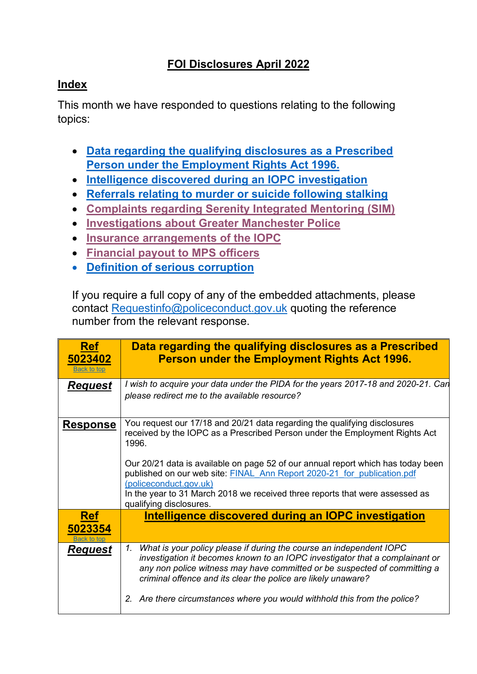## **FOI Disclosures April 2022**

## <span id="page-0-2"></span>**Index**

This month we have responded to questions relating to the following topics:

- **[Data regarding the qualifying disclosures as a Prescribed](#page-0-0)  [Person under the Employment Rights Act 1996.](#page-0-0)**
- **[Intelligence discovered during an IOPC investigation](#page-0-1)**
- **[Referrals relating to murder or suicide following stalking](#page-1-0)**
- **[Complaints regarding Serenity Integrated Mentoring \(SIM\)](#page-3-0)**
- **[Investigations about Greater Manchester](#page-4-0) Police**
- **[Insurance arrangements](#page-4-1) of the IOPC**
- **[Financial payout to MPS officers](#page-5-0)**
- **[Definition of serious corruption](#page-6-0)**

If you require a full copy of any of the embedded attachments, please contact [Requestinfo@policeconduct.gov.uk](mailto:Requestinfo@policeconduct.gov.uk) quoting the reference number from the relevant response.

<span id="page-0-1"></span><span id="page-0-0"></span>

| <b>Ref</b><br>5023402<br><b>Back to top</b> | Data regarding the qualifying disclosures as a Prescribed<br><b>Person under the Employment Rights Act 1996.</b>                                                                                                                                                                                                                                                                                                                                                      |
|---------------------------------------------|-----------------------------------------------------------------------------------------------------------------------------------------------------------------------------------------------------------------------------------------------------------------------------------------------------------------------------------------------------------------------------------------------------------------------------------------------------------------------|
| <b>Request</b>                              | I wish to acquire your data under the PIDA for the years 2017-18 and 2020-21. Can<br>please redirect me to the available resource?                                                                                                                                                                                                                                                                                                                                    |
| <b>Response</b>                             | You request our 17/18 and 20/21 data regarding the qualifying disclosures<br>received by the IOPC as a Prescribed Person under the Employment Rights Act<br>1996.<br>Our 20/21 data is available on page 52 of our annual report which has today been<br>published on our web site: FINAL Ann Report 2020-21 for publication.pdf<br>(policeconduct.gov.uk)<br>In the year to 31 March 2018 we received three reports that were assessed as<br>qualifying disclosures. |
| <b>Ref</b><br>5023354<br>Back to tor        | Intelligence discovered during an IOPC investigation                                                                                                                                                                                                                                                                                                                                                                                                                  |
| <b>Request</b>                              | What is your policy please if during the course an independent IOPC<br>1.<br>investigation it becomes known to an IOPC investigator that a complainant or<br>any non police witness may have committed or be suspected of committing a<br>criminal offence and its clear the police are likely unaware?                                                                                                                                                               |
|                                             | Are there circumstances where you would withhold this from the police?                                                                                                                                                                                                                                                                                                                                                                                                |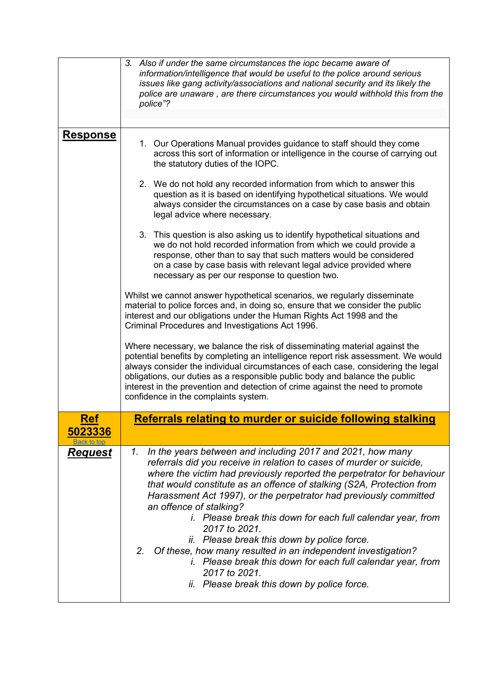<span id="page-1-0"></span>

|                       | 3. Also if under the same circumstances the iopc became aware of<br>information/intelligence that would be useful to the police around serious<br>issues like gang activity/associations and national security and its likely the<br>police are unaware, are there circumstances you would withhold this from the<br>police"?                                                                                                                                                                                                                                                                                                                                                                                                          |
|-----------------------|----------------------------------------------------------------------------------------------------------------------------------------------------------------------------------------------------------------------------------------------------------------------------------------------------------------------------------------------------------------------------------------------------------------------------------------------------------------------------------------------------------------------------------------------------------------------------------------------------------------------------------------------------------------------------------------------------------------------------------------|
|                       |                                                                                                                                                                                                                                                                                                                                                                                                                                                                                                                                                                                                                                                                                                                                        |
| <b>Response</b>       | 1. Our Operations Manual provides guidance to staff should they come<br>across this sort of information or intelligence in the course of carrying out<br>the statutory duties of the IOPC.                                                                                                                                                                                                                                                                                                                                                                                                                                                                                                                                             |
|                       | 2. We do not hold any recorded information from which to answer this<br>question as it is based on identifying hypothetical situations. We would<br>always consider the circumstances on a case by case basis and obtain<br>legal advice where necessary.                                                                                                                                                                                                                                                                                                                                                                                                                                                                              |
|                       | 3. This question is also asking us to identify hypothetical situations and<br>we do not hold recorded information from which we could provide a<br>response, other than to say that such matters would be considered<br>on a case by case basis with relevant legal advice provided where<br>necessary as per our response to question two.                                                                                                                                                                                                                                                                                                                                                                                            |
|                       | Whilst we cannot answer hypothetical scenarios, we regularly disseminate<br>material to police forces and, in doing so, ensure that we consider the public<br>interest and our obligations under the Human Rights Act 1998 and the<br>Criminal Procedures and Investigations Act 1996.                                                                                                                                                                                                                                                                                                                                                                                                                                                 |
|                       | Where necessary, we balance the risk of disseminating material against the<br>potential benefits by completing an intelligence report risk assessment. We would<br>always consider the individual circumstances of each case, considering the legal<br>obligations, our duties as a responsible public body and balance the public<br>interest in the prevention and detection of crime against the need to promote<br>confidence in the complaints system.                                                                                                                                                                                                                                                                            |
| <b>Ref</b><br>5023336 | Referrals relating to murder or suicide following stalking                                                                                                                                                                                                                                                                                                                                                                                                                                                                                                                                                                                                                                                                             |
| <u>Request</u>        | In the years between and including 2017 and 2021, how many<br>1.<br>referrals did you receive in relation to cases of murder or suicide,<br>where the victim had previously reported the perpetrator for behaviour<br>that would constitute as an offence of stalking (S2A, Protection from<br>Harassment Act 1997), or the perpetrator had previously committed<br>an offence of stalking?<br><i>i.</i> Please break this down for each full calendar year, from<br>2017 to 2021.<br>ii. Please break this down by police force.<br>2.<br>Of these, how many resulted in an independent investigation?<br>i. Please break this down for each full calendar year, from<br>2017 to 2021.<br>ii. Please break this down by police force. |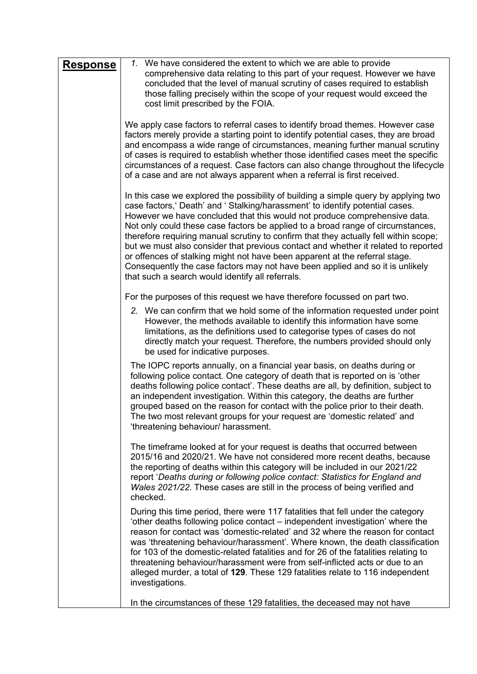| <b>Response</b> | 1. We have considered the extent to which we are able to provide<br>comprehensive data relating to this part of your request. However we have<br>concluded that the level of manual scrutiny of cases required to establish<br>those falling precisely within the scope of your request would exceed the<br>cost limit prescribed by the FOIA.                                                                                                                                                                                                                                                                                                                                                                                         |
|-----------------|----------------------------------------------------------------------------------------------------------------------------------------------------------------------------------------------------------------------------------------------------------------------------------------------------------------------------------------------------------------------------------------------------------------------------------------------------------------------------------------------------------------------------------------------------------------------------------------------------------------------------------------------------------------------------------------------------------------------------------------|
|                 | We apply case factors to referral cases to identify broad themes. However case<br>factors merely provide a starting point to identify potential cases, they are broad<br>and encompass a wide range of circumstances, meaning further manual scrutiny<br>of cases is required to establish whether those identified cases meet the specific<br>circumstances of a request. Case factors can also change throughout the lifecycle<br>of a case and are not always apparent when a referral is first received.                                                                                                                                                                                                                           |
|                 | In this case we explored the possibility of building a simple query by applying two<br>case factors,' Death' and ' Stalking/harassment' to identify potential cases.<br>However we have concluded that this would not produce comprehensive data.<br>Not only could these case factors be applied to a broad range of circumstances,<br>therefore requiring manual scrutiny to confirm that they actually fell within scope;<br>but we must also consider that previous contact and whether it related to reported<br>or offences of stalking might not have been apparent at the referral stage.<br>Consequently the case factors may not have been applied and so it is unlikely<br>that such a search would identify all referrals. |
|                 | For the purposes of this request we have therefore focussed on part two.                                                                                                                                                                                                                                                                                                                                                                                                                                                                                                                                                                                                                                                               |
|                 | 2. We can confirm that we hold some of the information requested under point<br>However, the methods available to identify this information have some<br>limitations, as the definitions used to categorise types of cases do not<br>directly match your request. Therefore, the numbers provided should only<br>be used for indicative purposes.                                                                                                                                                                                                                                                                                                                                                                                      |
|                 | The IOPC reports annually, on a financial year basis, on deaths during or<br>following police contact. One category of death that is reported on is 'other<br>deaths following police contact'. These deaths are all, by definition, subject to<br>an independent investigation. Within this category, the deaths are further<br>grouped based on the reason for contact with the police prior to their death.<br>The two most relevant groups for your request are 'domestic related' and<br>'threatening behaviour/ harassment.                                                                                                                                                                                                      |
|                 | The timeframe looked at for your request is deaths that occurred between<br>2015/16 and 2020/21. We have not considered more recent deaths, because<br>the reporting of deaths within this category will be included in our 2021/22<br>report 'Deaths during or following police contact: Statistics for England and<br>Wales 2021/22. These cases are still in the process of being verified and<br>checked.                                                                                                                                                                                                                                                                                                                          |
|                 | During this time period, there were 117 fatalities that fell under the category<br>'other deaths following police contact – independent investigation' where the<br>reason for contact was 'domestic-related' and 32 where the reason for contact<br>was 'threatening behaviour/harassment'. Where known, the death classification<br>for 103 of the domestic-related fatalities and for 26 of the fatalities relating to<br>threatening behaviour/harassment were from self-inflicted acts or due to an<br>alleged murder, a total of 129. These 129 fatalities relate to 116 independent<br>investigations.                                                                                                                          |
|                 | In the circumstances of these 129 fatalities, the deceased may not have                                                                                                                                                                                                                                                                                                                                                                                                                                                                                                                                                                                                                                                                |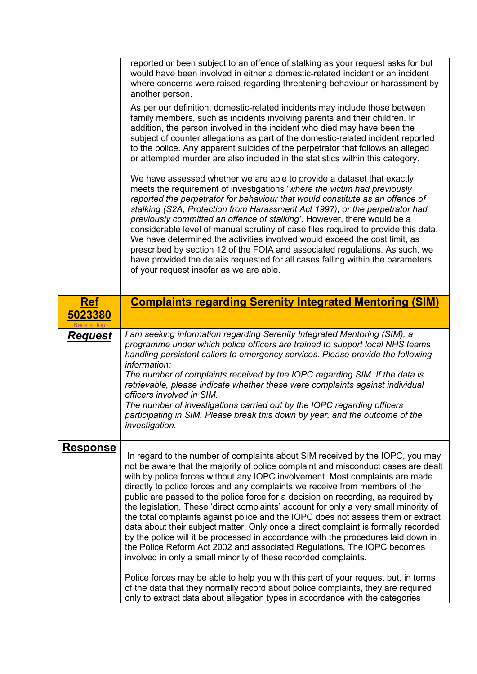<span id="page-3-0"></span>

|                 | reported or been subject to an offence of stalking as your request asks for but<br>would have been involved in either a domestic-related incident or an incident<br>where concerns were raised regarding threatening behaviour or harassment by<br>another person.<br>As per our definition, domestic-related incidents may include those between<br>family members, such as incidents involving parents and their children. In<br>addition, the person involved in the incident who died may have been the<br>subject of counter allegations as part of the domestic-related incident reported<br>to the police. Any apparent suicides of the perpetrator that follows an alleged<br>or attempted murder are also included in the statistics within this category.<br>We have assessed whether we are able to provide a dataset that exactly<br>meets the requirement of investigations 'where the victim had previously<br>reported the perpetrator for behaviour that would constitute as an offence of<br>stalking (S2A, Protection from Harassment Act 1997), or the perpetrator had<br>previously committed an offence of stalking'. However, there would be a<br>considerable level of manual scrutiny of case files required to provide this data.<br>We have determined the activities involved would exceed the cost limit, as<br>prescribed by section 12 of the FOIA and associated regulations. As such, we<br>have provided the details requested for all cases falling within the parameters<br>of your request insofar as we are able. |
|-----------------|--------------------------------------------------------------------------------------------------------------------------------------------------------------------------------------------------------------------------------------------------------------------------------------------------------------------------------------------------------------------------------------------------------------------------------------------------------------------------------------------------------------------------------------------------------------------------------------------------------------------------------------------------------------------------------------------------------------------------------------------------------------------------------------------------------------------------------------------------------------------------------------------------------------------------------------------------------------------------------------------------------------------------------------------------------------------------------------------------------------------------------------------------------------------------------------------------------------------------------------------------------------------------------------------------------------------------------------------------------------------------------------------------------------------------------------------------------------------------------------------------------------------------------------------------------|
| <b>Ref</b>      | <b>Complaints regarding Serenity Integrated Mentoring (SIM)</b>                                                                                                                                                                                                                                                                                                                                                                                                                                                                                                                                                                                                                                                                                                                                                                                                                                                                                                                                                                                                                                                                                                                                                                                                                                                                                                                                                                                                                                                                                        |
| 5023380         |                                                                                                                                                                                                                                                                                                                                                                                                                                                                                                                                                                                                                                                                                                                                                                                                                                                                                                                                                                                                                                                                                                                                                                                                                                                                                                                                                                                                                                                                                                                                                        |
| <u>Request</u>  | I am seeking information regarding Serenity Integrated Mentoring (SIM), a<br>programme under which police officers are trained to support local NHS teams<br>handling persistent callers to emergency services. Please provide the following<br>information:<br>The number of complaints received by the IOPC regarding SIM. If the data is<br>retrievable, please indicate whether these were complaints against individual<br>officers involved in SIM.<br>The number of investigations carried out by the IOPC regarding officers<br>participating in SIM. Please break this down by year, and the outcome of the<br>investigation.                                                                                                                                                                                                                                                                                                                                                                                                                                                                                                                                                                                                                                                                                                                                                                                                                                                                                                                 |
| <b>Response</b> | In regard to the number of complaints about SIM received by the IOPC, you may<br>not be aware that the majority of police complaint and misconduct cases are dealt<br>with by police forces without any IOPC involvement. Most complaints are made<br>directly to police forces and any complaints we receive from members of the<br>public are passed to the police force for a decision on recording, as required by<br>the legislation. These 'direct complaints' account for only a very small minority of<br>the total complaints against police and the IOPC does not assess them or extract<br>data about their subject matter. Only once a direct complaint is formally recorded<br>by the police will it be processed in accordance with the procedures laid down in<br>the Police Reform Act 2002 and associated Regulations. The IOPC becomes<br>involved in only a small minority of these recorded complaints.<br>Police forces may be able to help you with this part of your request but, in terms<br>of the data that they normally record about police complaints, they are required<br>only to extract data about allegation types in accordance with the categories                                                                                                                                                                                                                                                                                                                                                                 |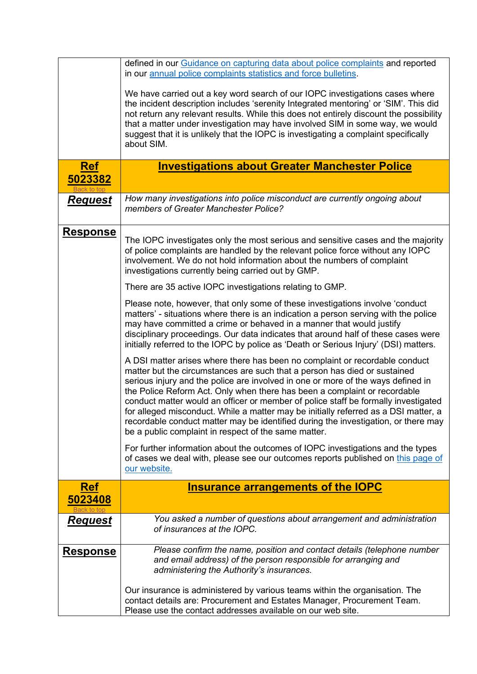<span id="page-4-1"></span><span id="page-4-0"></span>

|                       | defined in our Guidance on capturing data about police complaints and reported<br>in our annual police complaints statistics and force bulletins.                                                                                                                                                                                                                                                                                                                                                                                                                                                                                                    |
|-----------------------|------------------------------------------------------------------------------------------------------------------------------------------------------------------------------------------------------------------------------------------------------------------------------------------------------------------------------------------------------------------------------------------------------------------------------------------------------------------------------------------------------------------------------------------------------------------------------------------------------------------------------------------------------|
|                       | We have carried out a key word search of our IOPC investigations cases where<br>the incident description includes 'serenity Integrated mentoring' or 'SIM'. This did<br>not return any relevant results. While this does not entirely discount the possibility<br>that a matter under investigation may have involved SIM in some way, we would<br>suggest that it is unlikely that the IOPC is investigating a complaint specifically<br>about SIM.                                                                                                                                                                                                 |
| <b>Ref</b><br>5023382 | <b>Investigations about Greater Manchester Police</b>                                                                                                                                                                                                                                                                                                                                                                                                                                                                                                                                                                                                |
|                       | How many investigations into police misconduct are currently ongoing about                                                                                                                                                                                                                                                                                                                                                                                                                                                                                                                                                                           |
| <u>Request</u>        | members of Greater Manchester Police?                                                                                                                                                                                                                                                                                                                                                                                                                                                                                                                                                                                                                |
| <b>Response</b>       | The IOPC investigates only the most serious and sensitive cases and the majority<br>of police complaints are handled by the relevant police force without any IOPC<br>involvement. We do not hold information about the numbers of complaint<br>investigations currently being carried out by GMP.                                                                                                                                                                                                                                                                                                                                                   |
|                       | There are 35 active IOPC investigations relating to GMP.                                                                                                                                                                                                                                                                                                                                                                                                                                                                                                                                                                                             |
|                       | Please note, however, that only some of these investigations involve 'conduct<br>matters' - situations where there is an indication a person serving with the police<br>may have committed a crime or behaved in a manner that would justify<br>disciplinary proceedings. Our data indicates that around half of these cases were<br>initially referred to the IOPC by police as 'Death or Serious Injury' (DSI) matters.                                                                                                                                                                                                                            |
|                       | A DSI matter arises where there has been no complaint or recordable conduct<br>matter but the circumstances are such that a person has died or sustained<br>serious injury and the police are involved in one or more of the ways defined in<br>the Police Reform Act. Only when there has been a complaint or recordable<br>conduct matter would an officer or member of police staff be formally investigated<br>for alleged misconduct. While a matter may be initially referred as a DSI matter, a<br>recordable conduct matter may be identified during the investigation, or there may<br>be a public complaint in respect of the same matter. |
|                       | For further information about the outcomes of IOPC investigations and the types<br>of cases we deal with, please see our outcomes reports published on this page of<br>our website.                                                                                                                                                                                                                                                                                                                                                                                                                                                                  |
| <b>Ref</b><br>5023408 | <b>Insurance arrangements of the IOPC</b>                                                                                                                                                                                                                                                                                                                                                                                                                                                                                                                                                                                                            |
| Request               | You asked a number of questions about arrangement and administration<br>of insurances at the IOPC.                                                                                                                                                                                                                                                                                                                                                                                                                                                                                                                                                   |
| <u>Response</u>       | Please confirm the name, position and contact details (telephone number<br>and email address) of the person responsible for arranging and<br>administering the Authority's insurances.                                                                                                                                                                                                                                                                                                                                                                                                                                                               |
|                       | Our insurance is administered by various teams within the organisation. The<br>contact details are: Procurement and Estates Manager, Procurement Team.<br>Please use the contact addresses available on our web site.                                                                                                                                                                                                                                                                                                                                                                                                                                |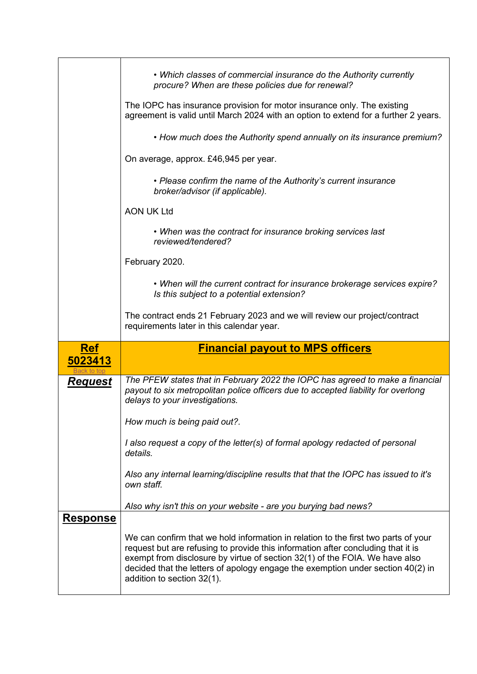<span id="page-5-0"></span>

|                 | • Which classes of commercial insurance do the Authority currently<br>procure? When are these policies due for renewal?<br>The IOPC has insurance provision for motor insurance only. The existing<br>agreement is valid until March 2024 with an option to extend for a further 2 years.<br>• How much does the Authority spend annually on its insurance premium?<br>On average, approx. £46,945 per year.<br>• Please confirm the name of the Authority's current insurance<br>broker/advisor (if applicable).<br><b>AON UK Ltd</b><br>• When was the contract for insurance broking services last<br>reviewed/tendered? |
|-----------------|-----------------------------------------------------------------------------------------------------------------------------------------------------------------------------------------------------------------------------------------------------------------------------------------------------------------------------------------------------------------------------------------------------------------------------------------------------------------------------------------------------------------------------------------------------------------------------------------------------------------------------|
|                 | February 2020.<br>• When will the current contract for insurance brokerage services expire?<br>Is this subject to a potential extension?                                                                                                                                                                                                                                                                                                                                                                                                                                                                                    |
|                 | The contract ends 21 February 2023 and we will review our project/contract<br>requirements later in this calendar year.                                                                                                                                                                                                                                                                                                                                                                                                                                                                                                     |
| <b>Ref</b>      | <b>Financial payout to MPS officers</b>                                                                                                                                                                                                                                                                                                                                                                                                                                                                                                                                                                                     |
| 5023413         |                                                                                                                                                                                                                                                                                                                                                                                                                                                                                                                                                                                                                             |
| <u>Request</u>  | The PFEW states that in February 2022 the IOPC has agreed to make a financial<br>payout to six metropolitan police officers due to accepted liability for overlong<br>delays to your investigations.<br>How much is being paid out?.<br>I also request a copy of the letter(s) of formal apology redacted of personal<br>details.<br>Also any internal learning/discipline results that that the IOPC has issued to it's<br>own staff.                                                                                                                                                                                      |
| <b>Response</b> | Also why isn't this on your website - are you burying bad news?                                                                                                                                                                                                                                                                                                                                                                                                                                                                                                                                                             |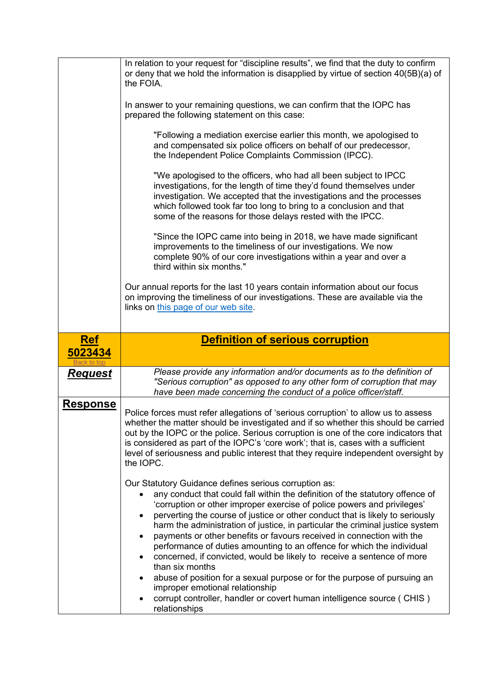<span id="page-6-0"></span>

|                       | In relation to your request for "discipline results", we find that the duty to confirm<br>or deny that we hold the information is disapplied by virtue of section 40(5B)(a) of<br>the FOIA.<br>In answer to your remaining questions, we can confirm that the IOPC has<br>prepared the following statement on this case:<br>"Following a mediation exercise earlier this month, we apologised to<br>and compensated six police officers on behalf of our predecessor,<br>the Independent Police Complaints Commission (IPCC).<br>"We apologised to the officers, who had all been subject to IPCC<br>investigations, for the length of time they'd found themselves under<br>investigation. We accepted that the investigations and the processes<br>which followed took far too long to bring to a conclusion and that<br>some of the reasons for those delays rested with the IPCC.<br>"Since the IOPC came into being in 2018, we have made significant<br>improvements to the timeliness of our investigations. We now<br>complete 90% of our core investigations within a year and over a<br>third within six months."<br>Our annual reports for the last 10 years contain information about our focus<br>on improving the timeliness of our investigations. These are available via the<br>links on this page of our web site. |
|-----------------------|--------------------------------------------------------------------------------------------------------------------------------------------------------------------------------------------------------------------------------------------------------------------------------------------------------------------------------------------------------------------------------------------------------------------------------------------------------------------------------------------------------------------------------------------------------------------------------------------------------------------------------------------------------------------------------------------------------------------------------------------------------------------------------------------------------------------------------------------------------------------------------------------------------------------------------------------------------------------------------------------------------------------------------------------------------------------------------------------------------------------------------------------------------------------------------------------------------------------------------------------------------------------------------------------------------------------------------------|
|                       |                                                                                                                                                                                                                                                                                                                                                                                                                                                                                                                                                                                                                                                                                                                                                                                                                                                                                                                                                                                                                                                                                                                                                                                                                                                                                                                                      |
| <b>Ref</b><br>5023434 | <b>Definition of serious corruption</b>                                                                                                                                                                                                                                                                                                                                                                                                                                                                                                                                                                                                                                                                                                                                                                                                                                                                                                                                                                                                                                                                                                                                                                                                                                                                                              |
| <u>Request</u>        | Please provide any information and/or documents as to the definition of<br>"Serious corruption" as opposed to any other form of corruption that may                                                                                                                                                                                                                                                                                                                                                                                                                                                                                                                                                                                                                                                                                                                                                                                                                                                                                                                                                                                                                                                                                                                                                                                  |
|                       | have been made concerning the conduct of a police officer/staff.                                                                                                                                                                                                                                                                                                                                                                                                                                                                                                                                                                                                                                                                                                                                                                                                                                                                                                                                                                                                                                                                                                                                                                                                                                                                     |